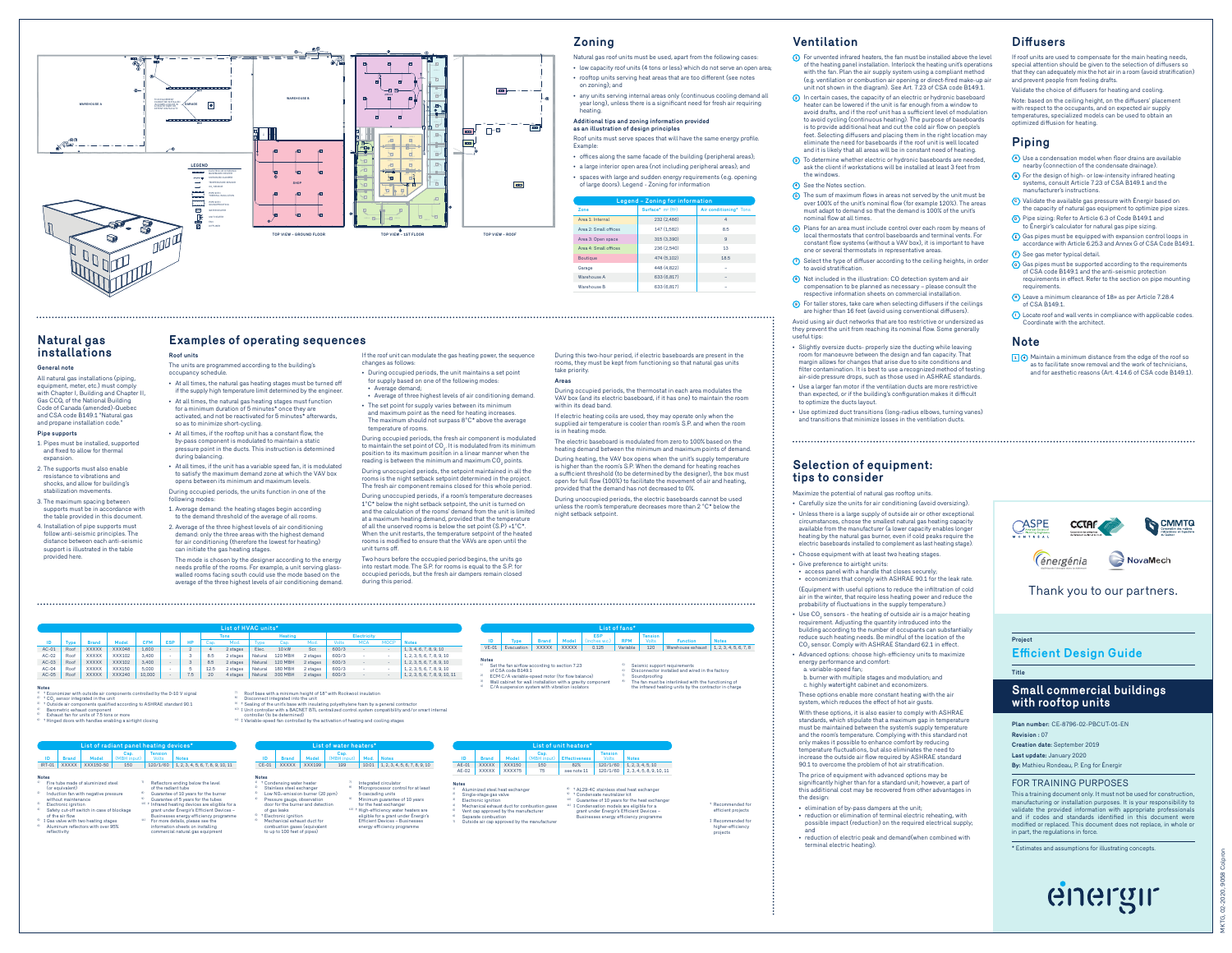

## **Natural gas installations**

**General note** All natural gas installations (piping, equipment, meter, etc.) must comply with Chapter I, Building and Chapter II, Gas CCQ, of the National Building Code of Canada (amended)-Quebec and CSA code B149.1 "Natural gas and propane installation code

## **Pipe supports**

- 1. Pipes must be installed, supported and fixed to allow for thermal expansion.
- 2. The supports must also enable resistance to vibrations and shocks, and allow for building's stabilization movements.
- 3. The maximum spacing between supports must be in accordance with the table provided in this document.
- 4. Installation of pipe supports must follow anti-seismic principles. The distance between each anti-seismic support is illustrated in the table

provided here.

for air conditioning (therefore the lowest for heating) can initiate the gas heating stages. The mode is chosen by the designer according to the energy needs profile of the rooms. For example, a unit serving glasswalled rooms facing south could use the mode based on the average of the three highest levels of air conditioning demand.

**List of HVAC units\***

1. Average demand: the heating stages begin according to the demand threshold of the average of all rooms. 2. Average of the three highest levels of air conditioning demand: only the three areas with the highest demand

**Examples of operating sequences**

The units are programmed according to the building's

• At all times, the natural gas heating stages must be turned off if the supply high temperature limit determined by the engineer. • At all times, the natural gas heating stages must function for a minimum duration of 5 minutes\* once they are activated, and not be reactivated for 5 minutes\* afterwards,

• At all times, if the rooftop unit has a constant flow, the by-pass component is modulated to maintain a static pressure point in the ducts. This instruction is determined

• At all times, if the unit has a variable speed fan, it is modulated to satisfy the maximum demand zone at which the VAV box opens between its minimum and maximum levels. During occupied periods, the units function in one of the

**Roof units**

occupancy schedule.

during balancing.

following modes:

so as to minimize short-cycling.

If the roof unit can modulate the gas heating power, the sequence changes as follows: • During occupied periods, the unit maintains a set point

for supply based on one of the following modes • Average demand; • Average of three highest levels of air conditioning demand.

• The set point for supply varies between its minimum and maximum point as the need for heating increases. The maximum should not surpass 8°C\* above the average temperature of rooms. During occupied periods, the fresh air component is modulated

to maintain the set point of CO $_{2}$ . It is modulated from its minimum position to its maximum position in a linear manner when the<br>reading is between the minimum and maximum CO<sub>2</sub> points. During unoccupied periods, the setpoint maintained in all the rooms is the night setback setpoint determined in the project. The fresh air component remains closed for this whole period. During unoccupied periods, if a room's temperature decreases

1°C\* below the night setback setpoint, the unit is turned on and the calculation of the rooms' demand from the unit is limited at a maximum heating demand, provided that the temperature of all the unserved rooms is below the set point (S.P) +1°C\*. When the unit restarts, the temperature setpoint of the heated rooms is modified to ensure that the VAVs are open until the unit turns off.

Two hours before the occupied period begins, the units go into restart mode. The S.P. for rooms is equal to the S.P. for occupied periods, but the fresh air dampers remain closed during this period.

- Natural gas roof units must be used, apart from the following cases: • low capacity roof units (4 tons or less) which do not serve an open area;
- rooftop units serving heat areas that are too different (see notes on zoning); and
- any units serving internal areas only (continuous cooling demand all year long), unless there is a significant need for fresh air requiring heating.

#### **Additional tips and zoning information provided as an illustration of design principles**

- Roof units must serve spaces that will have the same energy profile. Example:
- offices along the same facade of the building (peripheral areas);
- a large interior open area (not including peripheral areas); and
- spaces with large and sudden energy requirements (e.g. opening of large doors). Legend Zoning for information

| Legend - Zoning for information |                                            |                        |  |  |
|---------------------------------|--------------------------------------------|------------------------|--|--|
| <b>Zone</b>                     | Surface* m <sup>2</sup> (ft <sup>2</sup> ) | Air conditioning* Tons |  |  |
| Area 1: Internal                | 232 (2.486)                                |                        |  |  |
| Area 2: Small offices           | 147 (1.582)                                | 85                     |  |  |
| Area 3: Open space              | 315 (3.390)                                | $\mathbf{a}$           |  |  |
| Area 4: Small offices           | 236 (2.540)                                | 13                     |  |  |
| Boutique                        | 474 (5.102)                                | 18.5                   |  |  |
| Garage                          | 448 (4.822)                                | ٠                      |  |  |
| Warehouse A                     | 633 (6.817)                                | ۰                      |  |  |
| Warehouse B                     | 633 (6.817)                                | ٠                      |  |  |

During this two-hour period, if electric baseboards are present in the rooms, they must be kept from functioning so that natural gas units

During occupied periods, the thermostat in each area modulates the VAV box (and its electric baseboard, if it has one) to maintain the room

If electric heating coils are used, they may operate only when the supplied air temperature is cooler than room's S.P. and when the room

The electric baseboard is modulated from zero to 100% based on the heating demand between the minimum and maximum points of demand. During heating, the VAV box opens when the unit's supply temperature is higher than the room's S.P. When the demand for heating reaches a sufficient threshold (to be determined by the designer), the box must open for full flow (100%) to facilitate the movement of air and heating, provided that the demand has not decreased to 0%. During unoccupied periods, the electric baseboards cannot be used unless the room's temperature decreases more than 2 °C\* below the

## **Ventilation**

- **<sup>1</sup>** For unvented infrared heaters, the fan must be installed above the level of the heating panel installation. Interlock the heating unit's operations with the fan. Plan the air supply system using a compliant method (e.g. ventilation or combustion air opening or direct-fired make-up air unit not shown in the diagram). See Art. 7.23 of CSA code B149.1.
- **2** In certain cases, the capacity of an electric or hydronic baseboard heater can be lowered if the unit is far enough from a window to avoid drafts, and if the roof unit has a sufficient level of modulation to avoid cycling (continuous heating). The purpose of baseboards is to provide additional heat and cut the cold air flow on people's feet. Selecting diffusers and placing them in the right location may eliminate the need for baseboards if the roof unit is well located and it is likely that all areas will be in constant need of heating.
- **<sup>3</sup>** To determine whether electric or hydronic baseboards are needed, ask the client if workstations will be installed at least 3 feet from the windows.
- **<sup>4</sup>** See the Notes section.
- **5** The sum of maximum flows in areas not served by the unit must be over 100% of the unitmed flow (for example 120%). The areas must he unit's nominal flow (for example 120%). The areas must adapt to demand so that the de nominal flow at all times.
- **<sup>6</sup>** Plans for an area must include control over each room by means of local thermostats that control baseboards and terminal vents. For constant flow systems (without a VAV box), it is important to have one or several thermostats in representative areas.
- **<sup>7</sup>** Select the type of diffuser according to the ceiling heights, in order to avoid stratification.
- **8** Not included in the illustration: CO detection system and air compensation to be planned as necessary please consult the respective information sheets on commercial installation.
- **<sup>9</sup>** For taller stores, take care when selecting diffusers if the ceilings are higher than 16 feet (avoid using conventional diffusers).

Avoid using air duct networks that are too restrictive or undersized as they prevent the unit from reaching its nominal flow. Some generally useful tips:

• Slightly oversize ducts- properly size the ducting while leaving room for manoeuvre between the design and fan capacity. That margin allows for changes that arise due to site conditions and filter contamination. It is best to use a recognized method of testing air-side pressure drops, such as those used in ASHRAE standards. • Use a larger fan motor if the ventilation ducts are more restrictive

than expected, or if the building's configuration makes it difficult to optimize the ducts layout. • Use optimized duct transitions (long-radius elbows, turning vanes)

and transitions that minimize losses in the ventilation ducts.

## **Selection of equipment: tips to consider**

Maximize the potential of natural gas rooftop units. • Carefully size the units for air conditioning (avoid oversizing).

• Unless there is a large supply of outside air or other exceptional circumstances, choose the smallest natural gas heating capacity available from the manufacturer (a lower capacity enables longer heating by the natural gas burner, even if cold peaks require the electric baseboards installed to complement as last heating stage). • Choose equipment with at least two heating stages.

• Give preference to airtight units: • access panel with a handle that closes s

• economizers that comply with ASHRAE 90.1 for the leak rate. (Equipment with useful options to reduce the infiltration of cold

air in the winter, that require less heating power and reduce the probability of fluctuations in the supply temperature.) • Use  $CO<sub>2</sub>$  sensors - the heating of outside air is a major heating requirement. Adjusting the quantity introduced into the building according to the number of occupants can substantially reduce such heating needs. Be mindful of the location of the<br>CO<sub>2</sub> sensor. Comply with ASHRAE Standard 62.1 in effect.

• Advanced options: choose high-efficiency units to maximize energy performance and comfort:

a. variable-speed fan; b. burner with multiple stages and modulation; and c. highly watertight cabinet and economizers. These options enable more constant heating with the air

system, which reduces the effect of hot air gusts. With these options, it is also easier to comply with ASHRAE

and the room's temperature. Complying with this standard not only makes it possible to enhance comfort by reducing temperature fluctuations, but also eliminates the need to increase the outside air flow required by ASHRAE standard 90.1 to overcome the problem of hot air stratification.

The price of equipment with advanced options may be significantly higher than for a standard unit; however, a part of this additional cost may be recovered from other advantages in the design:

• elimination of by-pass dampers at the unit;

• reduction or elimination of terminal electric reheating, with possible impact (reduction) on the required electrical supply; and

• reduction of electric peak and demand(when combined with terminal electric heating).



## Thank you to our partners.

**Project Efficient Design Guide**

## **Small commercial buildings with rooftop units**

**Plan number: Revision :** 07 **Creation date:** September 2019

**Title**

**Diffusers**

**Piping**

optimized diffusion for heating.

**<sup>F</sup>** See gas meter typical detail.

Coordinate with the architect.

requirements.

of CSA B149.1.

**Note**

If roof units are used to compensate for the main heating needs, special attention should be given to the selection of diffusers so that they can adequately mix the hot air in a room (avoid stratification) and prevent people from feeling drafts. Validate the choice of diffusers for heating and cooling. Note: based on the ceiling height, on the diffusers' placement with respect to the occupants, and on expected air supply temperatures, specialized models can be used to obtain an

**<sup>A</sup>** Use a condensation model when floor drains are available nearby (connection of the condensate drainage). **<sup>B</sup>** For the design of high- or low-intensity infrared heating systems, consult Article 7.23 of CSA B149.1 and the manufacturer's instructions. **<sup>C</sup>** Validate the available gas pressure with Énergir based on the capacity of natural gas equipment to optimize pipe sizes. **<sup>D</sup>** Pipe sizing: Refer to Article 6.3 of Code B149.1 and to Énergir's calculator for natural gas pipe sizing. **<sup>E</sup>** Gas pipes must be equipped with expansion control loops in accordance with Article 6.25.3 and Annex G of CSA Code B149.1.

**<sup>G</sup>** Gas pipes must be supported according to the requirements of CSA code B149.1 and the anti-seismic protection requirements in effect. Refer to the section on pipe mounting

**<sup>H</sup>** Leave a minimum clearance of 18» as per Article 7.28.4

**<sup>I</sup>** Locate roof and wall vents in compliance with applicable codes.

**<sup>1</sup> <sup>4</sup>** Maintain a minimum distance from the edge of the roof so as to facilitate snow removal and the work of technicians, and for aesthetic reasons (Art. 4.14.6 of CSA code B149.1).

**Last update:** January 2020 **By:** Mathieu Rondeau, P. Eng for Énergir

## FOR TRAINING PURPOSES

This a training document only. It must not be used for construmanufacturing or installation purposes. It is your responsibility to validate the provided information with appropriate professionals and if codes and standards identified in this document were modified or replaced. This document does not replace, in whole or in part, the regulations in force.

\* Estimates and assumptions for illustrating concepts.



MKTG, 02-2020, 9058 Colpron **POOR** 

## **Notes ID Type Brand Model CFM ESP HP**  Cap. Mod. Type Cap. Mod. Volts MCA MOCP **Notes** ACOM, Review XXXXXX XXX1.02 AM 2000 - 2 4 2 2 angers Resume 2012/04 - 5xc, 602/03 - - 1.1.3.4.5.7.8.9.10<br>ACOM, Review XXXXXX XXX1.02 3.400 - 3 8.5 2 angers Neture 2021/0419 2 angers 602/03 - - 1.2.3.5.5.7.8.9.10<br>ACOM, Rev controlled by the 0-10 V signal height of 18" with Rockwool insulation " Disconnect integrated into the unit<br>" → Sealing of the unit's base with insulating polyethylene foam by a general contractor<br>" + Unit controller with a BACNET BTL centralized control system compatibility and/or smart in

**Tons Heating Electricity** 

 $\frac{20}{1}$  † CO<sub>2</sub> sensor integrated in the unit<br> $\frac{20}{1}$  † Outside air components qualified according to ASHRAE standard 90.1<br> $\frac{40}{1}$  Barometric exhaust component<br> $\frac{20}{1}$  Exhaust fan for units of 7.5 tons or more

information sheets on installing commercial natural gas equipment

- 6) † Hinged doors with handles enabling a airtight closing
- **List of radiant panel heating devices\***

#### **ID Brand Model Cap. Tension** (MBH input) Volts **Notes** IRT-01 XXXXX XXX150-50 150 120/1/60 1, 2, 3, 4, 5, 6, 7, 8, 9, 10, 11

| Notes   |                                                       |   |                                                          |
|---------|-------------------------------------------------------|---|----------------------------------------------------------|
|         |                                                       |   |                                                          |
| n       | Fire tube made of aluminized steel<br>(or equivalent) |   | Reflectors ending below the level<br>of the radiant tube |
| $^{25}$ | Induction fan with negative pressure                  | × | Guarantee of 10 years for the burn                       |
|         |                                                       |   |                                                          |
|         | without maintenance                                   | m | Guarantee of 5 years for the tubes                       |

- <sup>3)</sup> Electronic ignition<br><sup>4)</sup> Safety cut-off switch in case of blockage of the air flow 10) † Infrared heating devices are eligible for a grant under Énergir's Efficient Devices –
- 5) ‡ Gas valve with two heating stages <sup>6</sup> Aluminum reflectors with over 95% reflectivity

**Notes** 



| ID                 | <b>Brand</b>              | Model                           | Cap. | (MBH input) Effectiveness | <b>Tension</b><br>Volts                 | <b>Notes</b>                                          |
|--------------------|---------------------------|---------------------------------|------|---------------------------|-----------------------------------------|-------------------------------------------------------|
| AE-01              | <b>XXXXX</b>              | <b>XXX150</b>                   | 150  | 82%                       | 120/1/60                                | 1, 2, 3, 4, 5, 10                                     |
| AF-02              | <b>XXXXX</b>              | XXXX75                          | 75   | see note 11               | 120/1/60                                | 2.3.4.5.8.9.10.11                                     |
|                    |                           |                                 |      |                           |                                         |                                                       |
| <b>Notes</b><br>X) |                           | Aluminized steel heat exchanger |      |                           |                                         | <sup>6</sup> + AL29-4C stainless steel heat exchanger |
|                    | Classic steps are calcul- |                                 |      |                           | 0. A Construction and authorities life. |                                                       |

**List of fans\* ID Type Brand Model ESP** (inches w.c.) **RPM Tension** Volts **Function Notes** VE-01 | Evacuation | XXXXX | XXXXX | 0.125 | Variable | 120 | Warehouse exhaust | 1, 2, 3, 4, 5, 6, 7, 8

 $^{\circ\circ}$  Set the fan airflow according to section 7.23<br>of CSA code B149.1<br> $^{\circ\circ}$  ECM C/A variable-speed motor (for flow balance)<br> $^{\circ\circ}$  Wall cabinet for wall installation with a gravity component<br> $^{\circ\circ}$  C/A suspensi

take priority. **Areas**

within its dead band.

is in heating mode.

night setback setpoint.

 $7$  Soundproofing<br> $8$  The fan must be interlinked with the functioning of the infrared heating units by the contractor in charge

† Recommended for efficient projects ‡ Recommended for higher-efficiency projects

\*\*\* 1 variable-speed fan controlled by the activities of the controlled by the controlled by the controlled by the controlled by the controlled by the controlled by the controlled by the controlled by the controlled by th **List of unit heaters\***

<sup>5)</sup> Seismic support requirements istalled and wired in the factor



|     | Notes                                        |                                                         |
|-----|----------------------------------------------|---------------------------------------------------------|
| o.  | Aluminized steel heat exchanger              | <sup>6</sup> + AL29-4C stainless steel heat exchanger   |
| n   | Single-stage gas valve                       | <sup>61</sup> <sup>+</sup> Condensate neutralizer kit   |
| si. | Electronic ignition                          | 200<br>Guarantee of 10 years for the heat exchanger     |
| ó.  | Mechanical exhaust duct for combustion gases | <sup>11)</sup> ‡ Condensation models are eligible for a |
| o.  | Vent cap approved by the manufacturer        | grant under Énergir's Efficient Devices -               |
| o   | Separate combustion                          | Businesses energy efficiency programme                  |
| n   | Outside air cap approved by the manufacturer |                                                         |